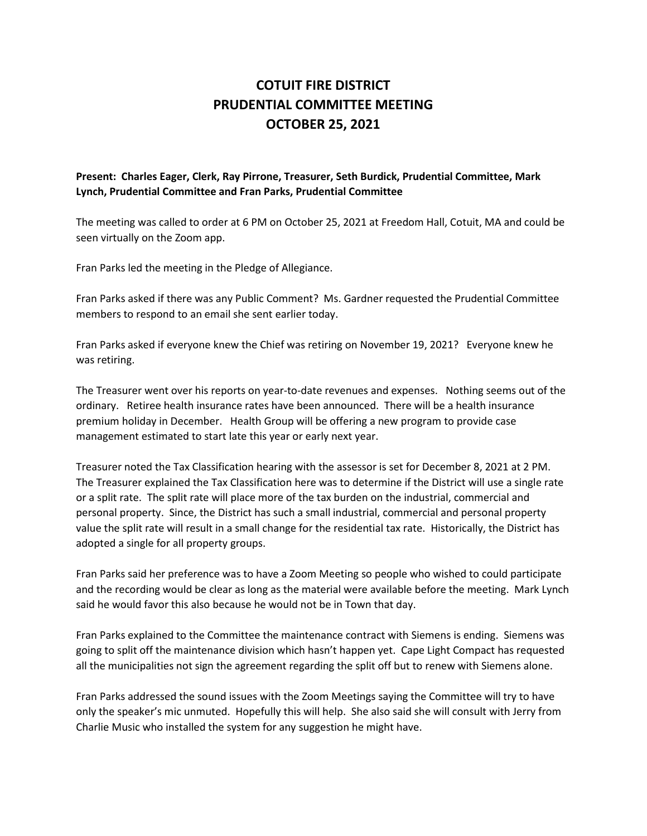## **COTUIT FIRE DISTRICT PRUDENTIAL COMMITTEE MEETING OCTOBER 25, 2021**

## **Present: Charles Eager, Clerk, Ray Pirrone, Treasurer, Seth Burdick, Prudential Committee, Mark Lynch, Prudential Committee and Fran Parks, Prudential Committee**

The meeting was called to order at 6 PM on October 25, 2021 at Freedom Hall, Cotuit, MA and could be seen virtually on the Zoom app.

Fran Parks led the meeting in the Pledge of Allegiance.

Fran Parks asked if there was any Public Comment? Ms. Gardner requested the Prudential Committee members to respond to an email she sent earlier today.

Fran Parks asked if everyone knew the Chief was retiring on November 19, 2021? Everyone knew he was retiring.

The Treasurer went over his reports on year-to-date revenues and expenses. Nothing seems out of the ordinary. Retiree health insurance rates have been announced. There will be a health insurance premium holiday in December. Health Group will be offering a new program to provide case management estimated to start late this year or early next year.

Treasurer noted the Tax Classification hearing with the assessor is set for December 8, 2021 at 2 PM. The Treasurer explained the Tax Classification here was to determine if the District will use a single rate or a split rate. The split rate will place more of the tax burden on the industrial, commercial and personal property. Since, the District has such a small industrial, commercial and personal property value the split rate will result in a small change for the residential tax rate. Historically, the District has adopted a single for all property groups.

Fran Parks said her preference was to have a Zoom Meeting so people who wished to could participate and the recording would be clear as long as the material were available before the meeting. Mark Lynch said he would favor this also because he would not be in Town that day.

Fran Parks explained to the Committee the maintenance contract with Siemens is ending. Siemens was going to split off the maintenance division which hasn't happen yet. Cape Light Compact has requested all the municipalities not sign the agreement regarding the split off but to renew with Siemens alone.

Fran Parks addressed the sound issues with the Zoom Meetings saying the Committee will try to have only the speaker's mic unmuted. Hopefully this will help. She also said she will consult with Jerry from Charlie Music who installed the system for any suggestion he might have.